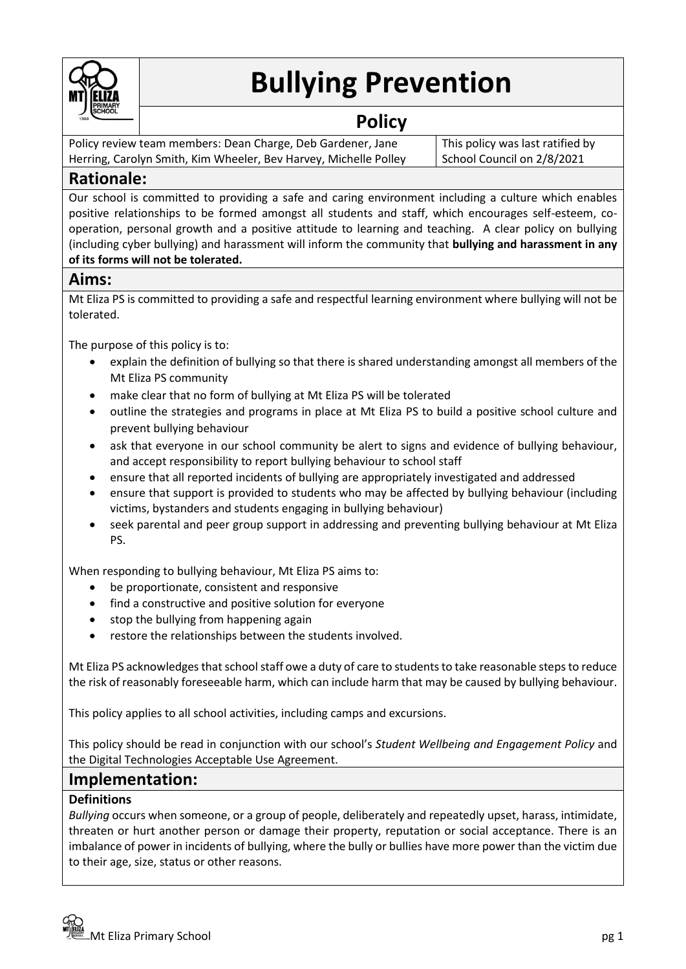

# **Bullying Prevention**

# **Policy**

Policy review team members: Dean Charge, Deb Gardener, Jane Herring, Carolyn Smith, Kim Wheeler, Bev Harvey, Michelle Polley This policy was last ratified by School Council on 2/8/2021

# **Rationale:**

Our school is committed to providing a safe and caring environment including a culture which enables positive relationships to be formed amongst all students and staff, which encourages self-esteem, cooperation, personal growth and a positive attitude to learning and teaching. A clear policy on bullying (including cyber bullying) and harassment will inform the community that **bullying and harassment in any of its forms will not be tolerated.**

## **Aims:**

Mt Eliza PS is committed to providing a safe and respectful learning environment where bullying will not be tolerated.

The purpose of this policy is to:

- explain the definition of bullying so that there is shared understanding amongst all members of the Mt Eliza PS community
- make clear that no form of bullying at Mt Eliza PS will be tolerated
- outline the strategies and programs in place at Mt Eliza PS to build a positive school culture and prevent bullying behaviour
- ask that everyone in our school community be alert to signs and evidence of bullying behaviour, and accept responsibility to report bullying behaviour to school staff
- ensure that all reported incidents of bullying are appropriately investigated and addressed
- ensure that support is provided to students who may be affected by bullying behaviour (including victims, bystanders and students engaging in bullying behaviour)
- seek parental and peer group support in addressing and preventing bullying behaviour at Mt Eliza PS.

When responding to bullying behaviour, Mt Eliza PS aims to:

- be proportionate, consistent and responsive
- find a constructive and positive solution for everyone
- stop the bullying from happening again
- restore the relationships between the students involved.

Mt Eliza PS acknowledges that school staff owe a duty of care to students to take reasonable steps to reduce the risk of reasonably foreseeable harm, which can include harm that may be caused by bullying behaviour.

This policy applies to all school activities, including camps and excursions.

This policy should be read in conjunction with our school's *Student Wellbeing and Engagement Policy* and the Digital Technologies Acceptable Use Agreement.

## **Implementation:**

#### **Definitions**

*Bullying* occurs when someone, or a group of people, deliberately and repeatedly upset, harass, intimidate, threaten or hurt another person or damage their property, reputation or social acceptance. There is an imbalance of power in incidents of bullying, where the bully or bullies have more power than the victim due to their age, size, status or other reasons.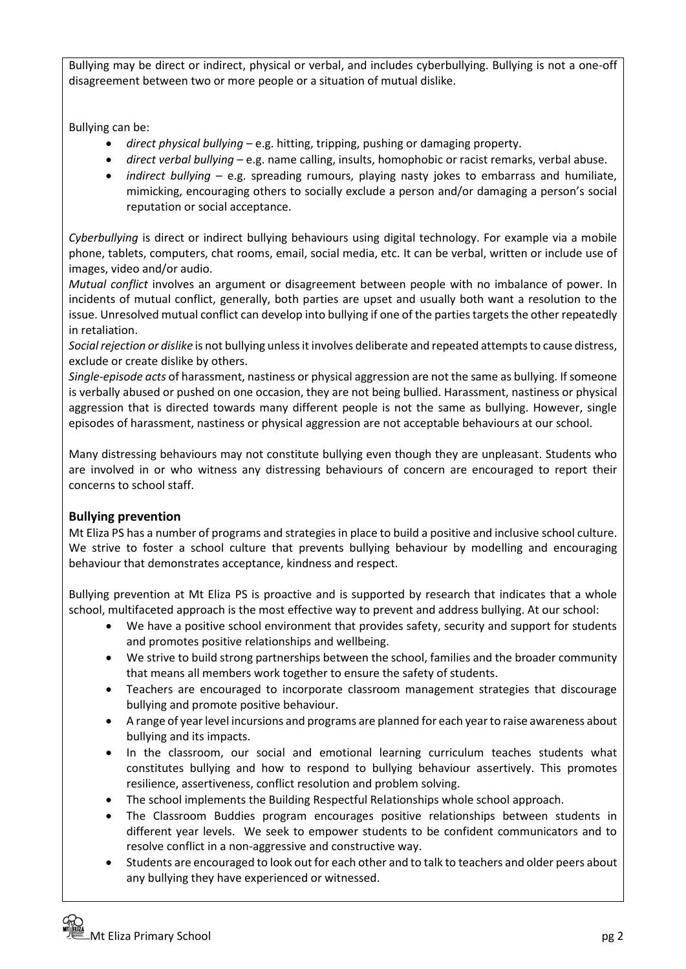Bullying may be direct or indirect, physical or verbal, and includes cyberbullying. Bullying is not a one-off disagreement between two or more people or a situation of mutual dislike.

Bullying can be:

- *direct physical bullying* e.g. hitting, tripping, pushing or damaging property.
- *direct verbal bullying* e.g. name calling, insults, homophobic or racist remarks, verbal abuse.
- *indirect bullying* e.g. spreading rumours, playing nasty jokes to embarrass and humiliate, mimicking, encouraging others to socially exclude a person and/or damaging a person's social reputation or social acceptance.

*Cyberbullying* is direct or indirect bullying behaviours using digital technology. For example via a mobile phone, tablets, computers, chat rooms, email, social media, etc. It can be verbal, written or include use of images, video and/or audio.

*Mutual conflict* involves an argument or disagreement between people with no imbalance of power. In incidents of mutual conflict, generally, both parties are upset and usually both want a resolution to the issue. Unresolved mutual conflict can develop into bullying if one of the parties targets the other repeatedly in retaliation.

*Social rejection or dislike* is not bullying unless it involves deliberate and repeated attempts to cause distress, exclude or create dislike by others.

*Single-episode acts* of harassment, nastiness or physical aggression are not the same as bullying. If someone is verbally abused or pushed on one occasion, they are not being bullied. Harassment, nastiness or physical aggression that is directed towards many different people is not the same as bullying. However, single episodes of harassment, nastiness or physical aggression are not acceptable behaviours at our school.

Many distressing behaviours may not constitute bullying even though they are unpleasant. Students who are involved in or who witness any distressing behaviours of concern are encouraged to report their concerns to school staff.

#### **Bullying prevention**

Mt Eliza PS has a number of programs and strategies in place to build a positive and inclusive school culture. We strive to foster a school culture that prevents bullying behaviour by modelling and encouraging behaviour that demonstrates acceptance, kindness and respect.

Bullying prevention at Mt Eliza PS is proactive and is supported by research that indicates that a whole school, multifaceted approach is the most effective way to prevent and address bullying. At our school:

- We have a positive school environment that provides safety, security and support for students and promotes positive relationships and wellbeing.
- We strive to build strong partnerships between the school, families and the broader community that means all members work together to ensure the safety of students.
- Teachers are encouraged to incorporate classroom management strategies that discourage bullying and promote positive behaviour.
- A range of year level incursions and programs are planned for each year to raise awareness about bullying and its impacts.
- In the classroom, our social and emotional learning curriculum teaches students what constitutes bullying and how to respond to bullying behaviour assertively. This promotes resilience, assertiveness, conflict resolution and problem solving.
- The school implements the Building Respectful Relationships whole school approach.
- The Classroom Buddies program encourages positive relationships between students in different year levels. We seek to empower students to be confident communicators and to resolve conflict in a non-aggressive and constructive way.
- Students are encouraged to look out for each other and to talk to teachers and older peers about any bullying they have experienced or witnessed.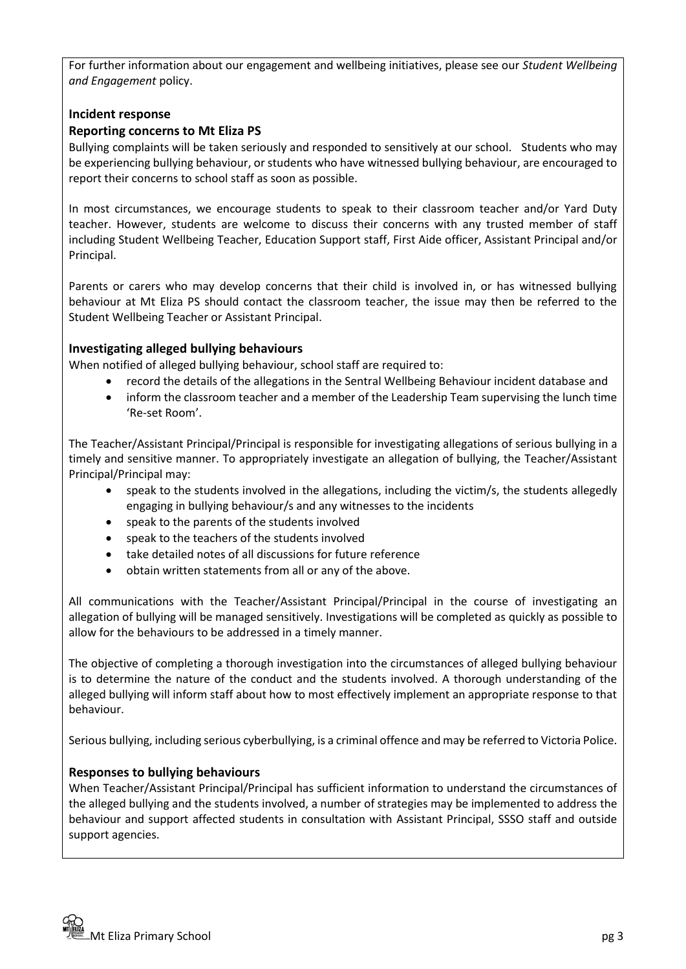For further information about our engagement and wellbeing initiatives, please see our *Student Wellbeing and Engagement* policy.

#### **Incident response**

#### **Reporting concerns to Mt Eliza PS**

Bullying complaints will be taken seriously and responded to sensitively at our school. Students who may be experiencing bullying behaviour, or students who have witnessed bullying behaviour, are encouraged to report their concerns to school staff as soon as possible.

In most circumstances, we encourage students to speak to their classroom teacher and/or Yard Duty teacher. However, students are welcome to discuss their concerns with any trusted member of staff including Student Wellbeing Teacher, Education Support staff, First Aide officer, Assistant Principal and/or Principal.

Parents or carers who may develop concerns that their child is involved in, or has witnessed bullying behaviour at Mt Eliza PS should contact the classroom teacher, the issue may then be referred to the Student Wellbeing Teacher or Assistant Principal.

#### **Investigating alleged bullying behaviours**

When notified of alleged bullying behaviour, school staff are required to:

- record the details of the allegations in the Sentral Wellbeing Behaviour incident database and
- inform the classroom teacher and a member of the Leadership Team supervising the lunch time 'Re-set Room'.

The Teacher/Assistant Principal/Principal is responsible for investigating allegations of serious bullying in a timely and sensitive manner. To appropriately investigate an allegation of bullying, the Teacher/Assistant Principal/Principal may:

- speak to the students involved in the allegations, including the victim/s, the students allegedly engaging in bullying behaviour/s and any witnesses to the incidents
- speak to the parents of the students involved
- speak to the teachers of the students involved
- take detailed notes of all discussions for future reference
- obtain written statements from all or any of the above.

All communications with the Teacher/Assistant Principal/Principal in the course of investigating an allegation of bullying will be managed sensitively. Investigations will be completed as quickly as possible to allow for the behaviours to be addressed in a timely manner.

The objective of completing a thorough investigation into the circumstances of alleged bullying behaviour is to determine the nature of the conduct and the students involved. A thorough understanding of the alleged bullying will inform staff about how to most effectively implement an appropriate response to that behaviour.

Serious bullying, including serious cyberbullying, is a criminal offence and may be referred to Victoria Police.

#### **Responses to bullying behaviours**

When Teacher/Assistant Principal/Principal has sufficient information to understand the circumstances of the alleged bullying and the students involved, a number of strategies may be implemented to address the behaviour and support affected students in consultation with Assistant Principal, SSSO staff and outside support agencies.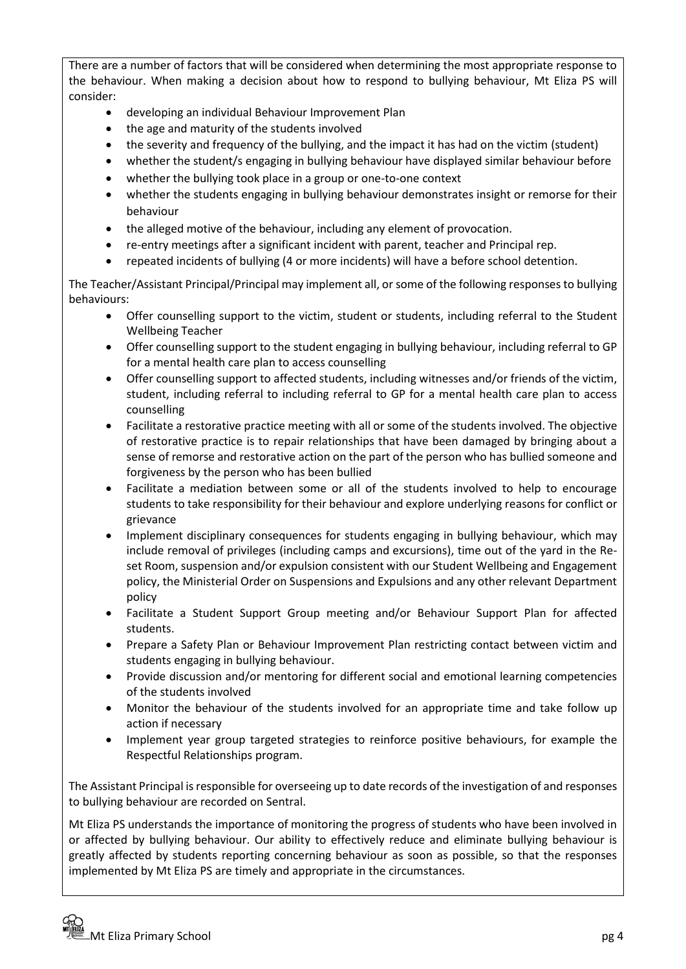There are a number of factors that will be considered when determining the most appropriate response to the behaviour. When making a decision about how to respond to bullying behaviour, Mt Eliza PS will consider:

- developing an individual Behaviour Improvement Plan
- the age and maturity of the students involved
- the severity and frequency of the bullying, and the impact it has had on the victim (student)
- whether the student/s engaging in bullying behaviour have displayed similar behaviour before
- whether the bullying took place in a group or one-to-one context
- whether the students engaging in bullying behaviour demonstrates insight or remorse for their behaviour
- the alleged motive of the behaviour, including any element of provocation.
- re-entry meetings after a significant incident with parent, teacher and Principal rep.
- repeated incidents of bullying (4 or more incidents) will have a before school detention.

The Teacher/Assistant Principal/Principal may implement all, or some of the following responses to bullying behaviours:

- Offer counselling support to the victim, student or students, including referral to the Student Wellbeing Teacher
- Offer counselling support to the student engaging in bullying behaviour, including referral to GP for a mental health care plan to access counselling
- Offer counselling support to affected students, including witnesses and/or friends of the victim, student, including referral to including referral to GP for a mental health care plan to access counselling
- Facilitate a restorative practice meeting with all or some of the students involved. The objective of restorative practice is to repair relationships that have been damaged by bringing about a sense of remorse and restorative action on the part of the person who has bullied someone and forgiveness by the person who has been bullied
- Facilitate a mediation between some or all of the students involved to help to encourage students to take responsibility for their behaviour and explore underlying reasons for conflict or grievance
- Implement disciplinary consequences for students engaging in bullying behaviour, which may include removal of privileges (including camps and excursions), time out of the yard in the Reset Room, suspension and/or expulsion consistent with our Student Wellbeing and Engagement policy, the Ministerial Order on Suspensions and Expulsions and any other relevant Department policy
- Facilitate a Student Support Group meeting and/or Behaviour Support Plan for affected students.
- Prepare a Safety Plan or Behaviour Improvement Plan restricting contact between victim and students engaging in bullying behaviour.
- Provide discussion and/or mentoring for different social and emotional learning competencies of the students involved
- Monitor the behaviour of the students involved for an appropriate time and take follow up action if necessary
- Implement year group targeted strategies to reinforce positive behaviours, for example the Respectful Relationships program.

The Assistant Principal is responsible for overseeing up to date records of the investigation of and responses to bullying behaviour are recorded on Sentral.

Mt Eliza PS understands the importance of monitoring the progress of students who have been involved in or affected by bullying behaviour. Our ability to effectively reduce and eliminate bullying behaviour is greatly affected by students reporting concerning behaviour as soon as possible, so that the responses implemented by Mt Eliza PS are timely and appropriate in the circumstances.